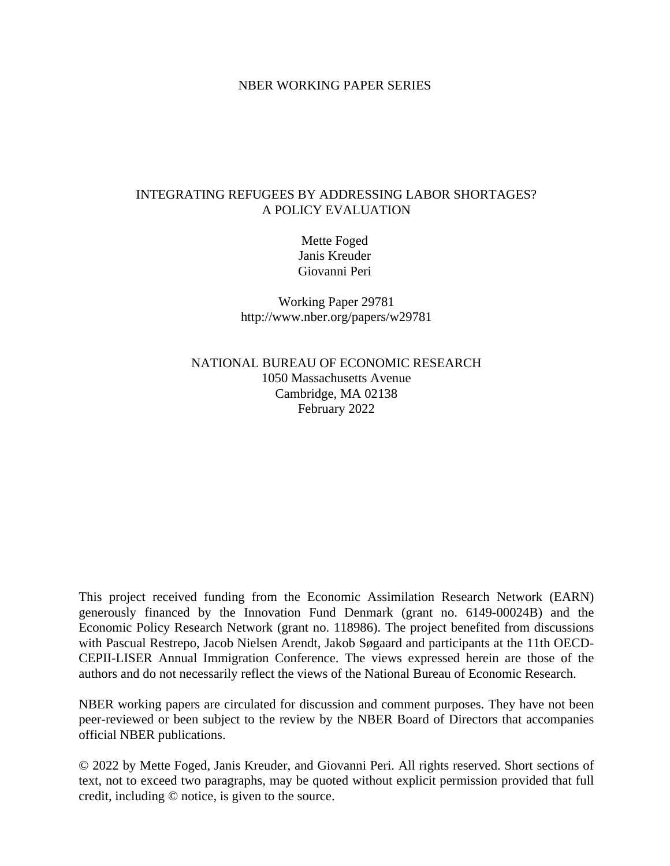# NBER WORKING PAPER SERIES

# INTEGRATING REFUGEES BY ADDRESSING LABOR SHORTAGES? A POLICY EVALUATION

Mette Foged Janis Kreuder Giovanni Peri

Working Paper 29781 http://www.nber.org/papers/w29781

NATIONAL BUREAU OF ECONOMIC RESEARCH 1050 Massachusetts Avenue Cambridge, MA 02138 February 2022

This project received funding from the Economic Assimilation Research Network (EARN) generously financed by the Innovation Fund Denmark (grant no. 6149-00024B) and the Economic Policy Research Network (grant no. 118986). The project benefited from discussions with Pascual Restrepo, Jacob Nielsen Arendt, Jakob Søgaard and participants at the 11th OECD-CEPII-LISER Annual Immigration Conference. The views expressed herein are those of the authors and do not necessarily reflect the views of the National Bureau of Economic Research.

NBER working papers are circulated for discussion and comment purposes. They have not been peer-reviewed or been subject to the review by the NBER Board of Directors that accompanies official NBER publications.

© 2022 by Mette Foged, Janis Kreuder, and Giovanni Peri. All rights reserved. Short sections of text, not to exceed two paragraphs, may be quoted without explicit permission provided that full credit, including © notice, is given to the source.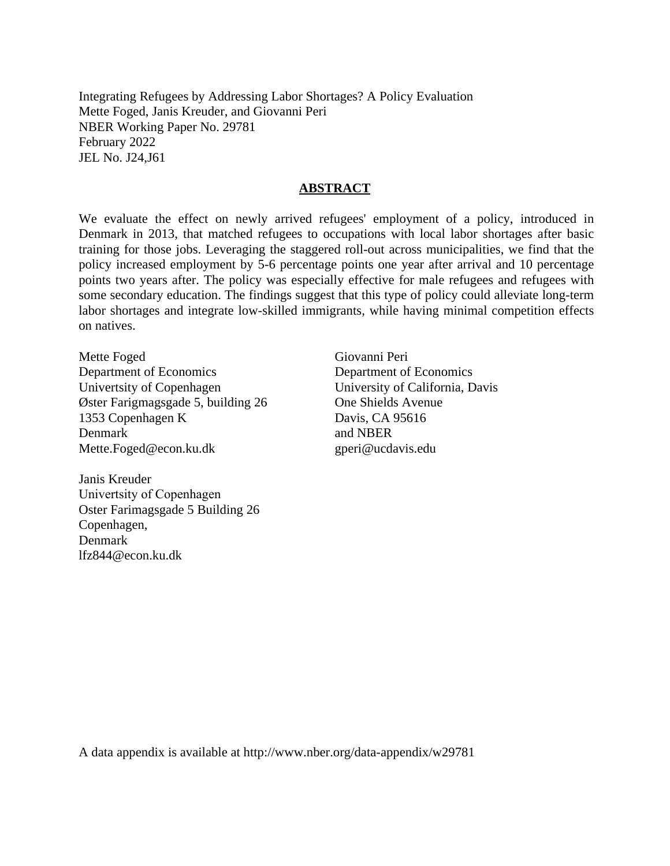Integrating Refugees by Addressing Labor Shortages? A Policy Evaluation Mette Foged, Janis Kreuder, and Giovanni Peri NBER Working Paper No. 29781 February 2022 JEL No. J24,J61

# **ABSTRACT**

We evaluate the effect on newly arrived refugees' employment of a policy, introduced in Denmark in 2013, that matched refugees to occupations with local labor shortages after basic training for those jobs. Leveraging the staggered roll-out across municipalities, we find that the policy increased employment by 5-6 percentage points one year after arrival and 10 percentage points two years after. The policy was especially effective for male refugees and refugees with some secondary education. The findings suggest that this type of policy could alleviate long-term labor shortages and integrate low-skilled immigrants, while having minimal competition effects on natives.

Mette Foged Department of Economics Univertsity of Copenhagen Øster Farigmagsgade 5, building 26 1353 Copenhagen K Denmark Mette.Foged@econ.ku.dk

Janis Kreuder Univertsity of Copenhagen Oster Farimagsgade 5 Building 26 Copenhagen, Denmark lfz844@econ.ku.dk

Giovanni Peri Department of Economics University of California, Davis One Shields Avenue Davis, CA 95616 and NBER gperi@ucdavis.edu

A data appendix is available at http://www.nber.org/data-appendix/w29781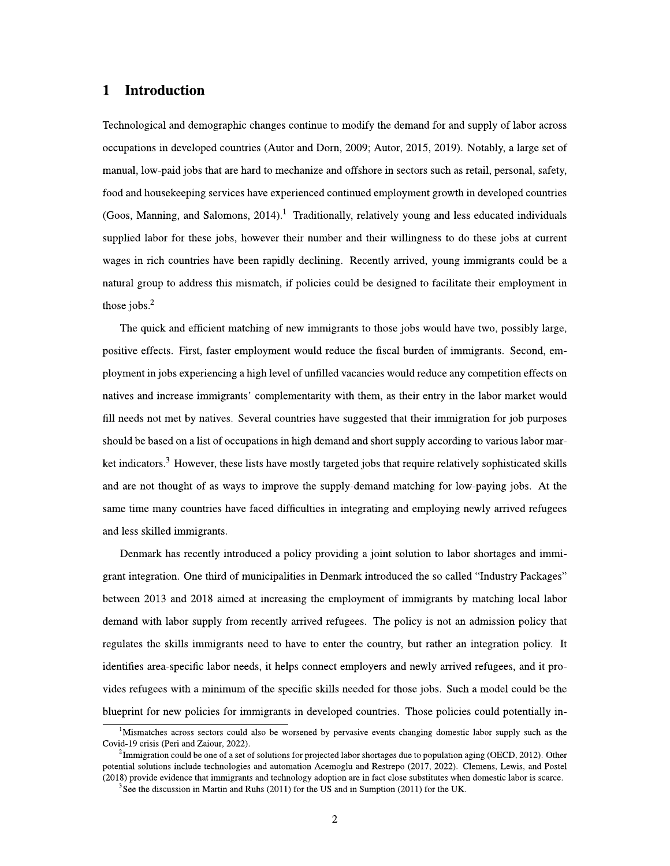## $\mathbf 1$ **Introduction**

Technological and demographic changes continue to modify the demand for and supply of labor across occupations in developed countries (Autor and Dorn, 2009; Autor, 2015, 2019). Notably, a large set of manual, low-paid jobs that are hard to mechanize and offshore in sectors such as retail, personal, safety, food and housekeeping services have experienced continued employment growth in developed countries (Goos, Manning, and Salomons,  $2014$ ).<sup>1</sup> Traditionally, relatively young and less educated individuals supplied labor for these jobs, however their number and their willingness to do these jobs at current wages in rich countries have been rapidly declining. Recently arrived, young immigrants could be a natural group to address this mismatch, if policies could be designed to facilitate their employment in those jobs. $<sup>2</sup>$ </sup>

The quick and efficient matching of new immigrants to those jobs would have two, possibly large, positive effects. First, faster employment would reduce the fiscal burden of immigrants. Second, employment in jobs experiencing a high level of unfilled vacancies would reduce any competition effects on natives and increase immigrants' complementarity with them, as their entry in the labor market would fill needs not met by natives. Several countries have suggested that their immigration for job purposes should be based on a list of occupations in high demand and short supply according to various labor market indicators.<sup>3</sup> However, these lists have mostly targeted jobs that require relatively sophisticated skills and are not thought of as ways to improve the supply-demand matching for low-paying jobs. At the same time many countries have faced difficulties in integrating and employing newly arrived refugees and less skilled immigrants.

Denmark has recently introduced a policy providing a joint solution to labor shortages and immigrant integration. One third of municipalities in Denmark introduced the so called "Industry Packages" between 2013 and 2018 aimed at increasing the employment of immigrants by matching local labor demand with labor supply from recently arrived refugees. The policy is not an admission policy that regulates the skills immigrants need to have to enter the country, but rather an integration policy. It identifies area-specific labor needs, it helps connect employers and newly arrived refugees, and it provides refugees with a minimum of the specific skills needed for those jobs. Such a model could be the blueprint for new policies for immigrants in developed countries. Those policies could potentially in-

<sup>&</sup>lt;sup>1</sup>Mismatches across sectors could also be worsened by pervasive events changing domestic labor supply such as the Covid-19 crisis (Peri and Zaiour, 2022).

 ${}^{2}$ Immigration could be one of a set of solutions for projected labor shortages due to population aging (OECD, 2012). Other potential solutions include technologies and automation Acemoglu and Restrepo (2017, 2022). Clemens, Lewis, and Postel (2018) provide evidence that immigrants and technology adoption are in fact close substitutes when domestic labor is scarce.

 $3$ See the discussion in Martin and Ruhs (2011) for the US and in Sumption (2011) for the UK.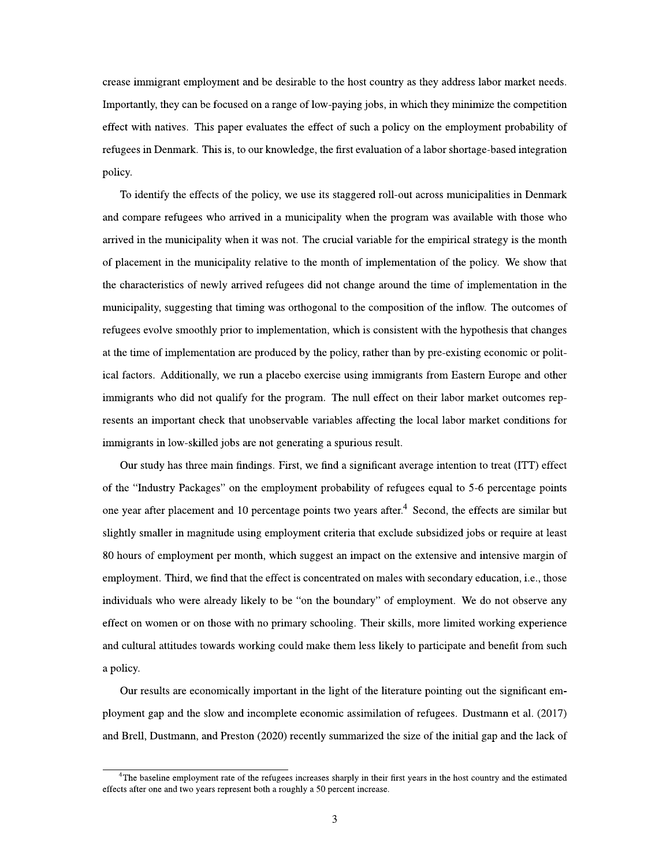crease immigrant employment and be desirable to the host country as they address labor market needs. Importantly, they can be focused on a range of low-paying jobs, in which they minimize the competition effect with natives. This paper evaluates the effect of such a policy on the employment probability of refugees in Denmark. This is, to our knowledge, the first evaluation of a labor shortage-based integration policy.

To identify the effects of the policy, we use its staggered roll-out across municipalities in Denmark and compare refugees who arrived in a municipality when the program was available with those who arrived in the municipality when it was not. The crucial variable for the empirical strategy is the month of placement in the municipality relative to the month of implementation of the policy. We show that the characteristics of newly arrived refugees did not change around the time of implementation in the municipality, suggesting that timing was orthogonal to the composition of the inflow. The outcomes of refugees evolve smoothly prior to implementation, which is consistent with the hypothesis that changes at the time of implementation are produced by the policy, rather than by pre-existing economic or political factors. Additionally, we run a placebo exercise using immigrants from Eastern Europe and other immigrants who did not qualify for the program. The null effect on their labor market outcomes represents an important check that unobservable variables affecting the local labor market conditions for immigrants in low-skilled jobs are not generating a spurious result.

Our study has three main findings. First, we find a significant average intention to treat (ITT) effect of the "Industry Packages" on the employment probability of refugees equal to 5-6 percentage points one year after placement and 10 percentage points two years after.<sup>4</sup> Second, the effects are similar but slightly smaller in magnitude using employment criteria that exclude subsidized jobs or require at least 80 hours of employment per month, which suggest an impact on the extensive and intensive margin of employment. Third, we find that the effect is concentrated on males with secondary education, i.e., those individuals who were already likely to be "on the boundary" of employment. We do not observe any effect on women or on those with no primary schooling. Their skills, more limited working experience and cultural attitudes towards working could make them less likely to participate and benefit from such a policy.

Our results are economically important in the light of the literature pointing out the significant employment gap and the slow and incomplete economic assimilation of refugees. Dustmann et al. (2017) and Brell, Dustmann, and Preston (2020) recently summarized the size of the initial gap and the lack of

<sup>&</sup>lt;sup>4</sup>The baseline employment rate of the refugees increases sharply in their first years in the host country and the estimated effects after one and two years represent both a roughly a 50 percent increase.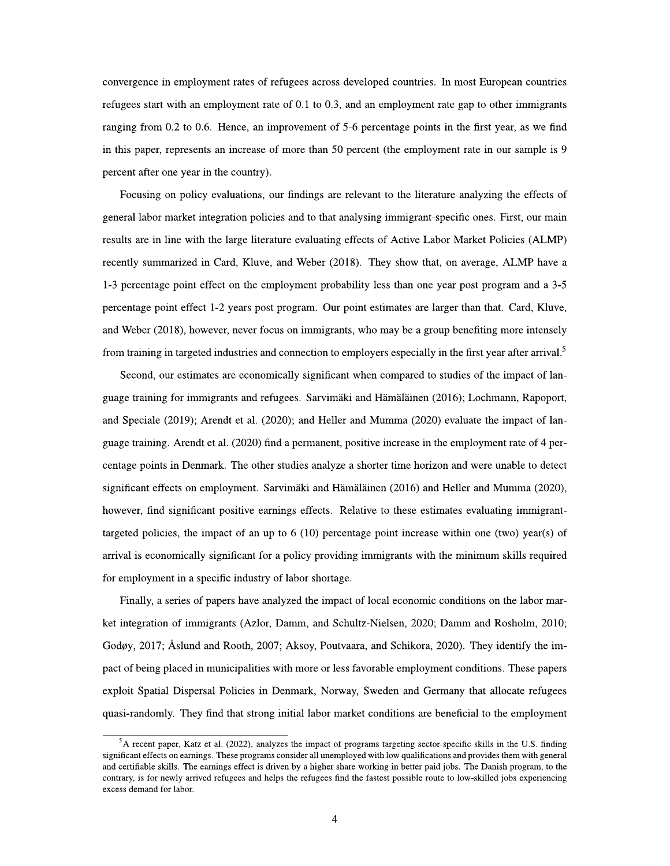convergence in employment rates of refugees across developed countries. In most European countries refugees start with an employment rate of  $0.1$  to  $0.3$ , and an employment rate gap to other immigrants ranging from 0.2 to 0.6. Hence, an improvement of 5-6 percentage points in the first year, as we find in this paper, represents an increase of more than 50 percent (the employment rate in our sample is 9 percent after one year in the country).

Focusing on policy evaluations, our findings are relevant to the literature analyzing the effects of general labor market integration policies and to that analysing immigrant-specific ones. First, our main results are in line with the large literature evaluating effects of Active Labor Market Policies (ALMP) recently summarized in Card, Kluve, and Weber (2018). They show that, on average, ALMP have a 1-3 percentage point effect on the employment probability less than one year post program and a 3-5 percentage point effect 1-2 years post program. Our point estimates are larger than that. Card, Kluve, and Weber (2018), however, never focus on immigrants, who may be a group benefiting more intensely from training in targeted industries and connection to employers especially in the first year after arrival.<sup>5</sup>

Second, our estimates are economically significant when compared to studies of the impact of language training for immigrants and refugees. Sarvimäki and Hämäläinen (2016); Lochmann, Rapoport, and Speciale (2019); Arendt et al. (2020); and Heller and Mumma (2020) evaluate the impact of language training. Arendt et al. (2020) find a permanent, positive increase in the employment rate of 4 percentage points in Denmark. The other studies analyze a shorter time horizon and were unable to detect significant effects on employment. Sarvimäki and Hämäläinen (2016) and Heller and Mumma (2020), however, find significant positive earnings effects. Relative to these estimates evaluating immigranttargeted policies, the impact of an up to  $6(10)$  percentage point increase within one (two) year(s) of arrival is economically significant for a policy providing immigrants with the minimum skills required for employment in a specific industry of labor shortage.

Finally, a series of papers have analyzed the impact of local economic conditions on the labor market integration of immigrants (Azlor, Damm, and Schultz-Nielsen, 2020; Damm and Rosholm, 2010; Godøy, 2017; Åslund and Rooth, 2007; Aksoy, Poutvaara, and Schikora, 2020). They identify the impact of being placed in municipalities with more or less favorable employment conditions. These papers exploit Spatial Dispersal Policies in Denmark, Norway, Sweden and Germany that allocate refugees quasi-randomly. They find that strong initial labor market conditions are beneficial to the employment

<sup>&</sup>lt;sup>5</sup>A recent paper, Katz et al. (2022), analyzes the impact of programs targeting sector-specific skills in the U.S. finding significant effects on earnings. These programs consider all unemployed with low qualifications and provides them with general and certifiable skills. The earnings effect is driven by a higher share working in better paid jobs. The Danish program, to the contrary, is for newly arrived refugees and helps the refugees find the fastest possible route to low-skilled jobs experiencing excess demand for labor.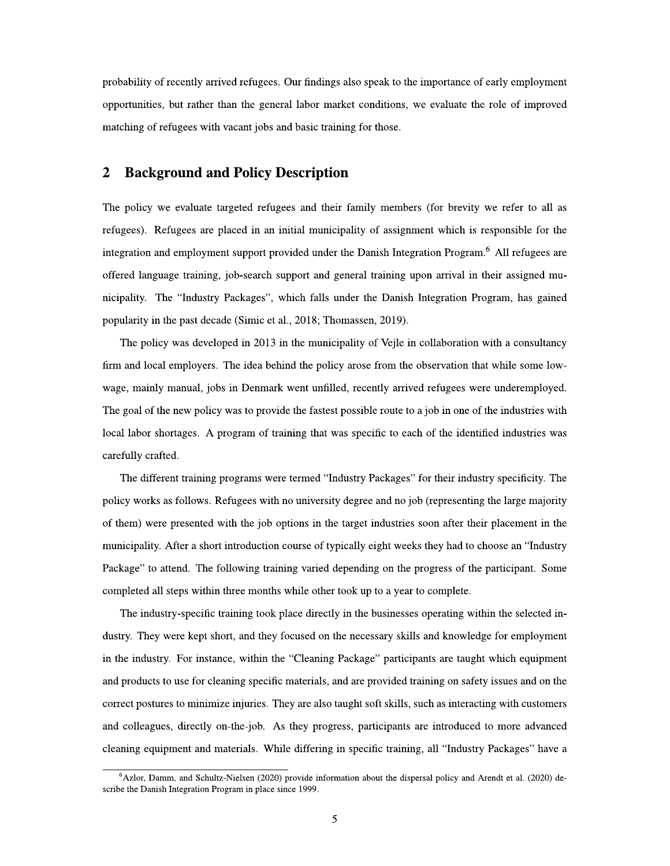probability of recently arrived refugees. Our findings also speak to the importance of early employment opportunities, but rather than the general labor market conditions, we evaluate the role of improved matching of refugees with vacant jobs and basic training for those.

### $\overline{2}$ **Background and Policy Description**

The policy we evaluate targeted refugees and their family members (for brevity we refer to all as refugees). Refugees are placed in an initial municipality of assignment which is responsible for the integration and employment support provided under the Danish Integration Program.<sup>6</sup> All refugees are offered language training, job-search support and general training upon arrival in their assigned municipality. The "Industry Packages", which falls under the Danish Integration Program, has gained popularity in the past decade (Simic et al., 2018; Thomassen, 2019).

The policy was developed in 2013 in the municipality of Vejle in collaboration with a consultancy firm and local employers. The idea behind the policy arose from the observation that while some lowwage, mainly manual, jobs in Denmark went unfilled, recently arrived refugees were underemployed. The goal of the new policy was to provide the fastest possible route to a job in one of the industries with local labor shortages. A program of training that was specific to each of the identified industries was carefully crafted.

The different training programs were termed "Industry Packages" for their industry specificity. The policy works as follows. Refugees with no university degree and no job (representing the large majority of them) were presented with the job options in the target industries soon after their placement in the municipality. After a short introduction course of typically eight weeks they had to choose an "Industry Package" to attend. The following training varied depending on the progress of the participant. Some completed all steps within three months while other took up to a year to complete.

The industry-specific training took place directly in the businesses operating within the selected industry. They were kept short, and they focused on the necessary skills and knowledge for employment in the industry. For instance, within the "Cleaning Package" participants are taught which equipment and products to use for cleaning specific materials, and are provided training on safety issues and on the correct postures to minimize injuries. They are also taught soft skills, such as interacting with customers and colleagues, directly on-the-job. As they progress, participants are introduced to more advanced cleaning equipment and materials. While differing in specific training, all "Industry Packages" have a

 $6$ Azlor, Damm, and Schultz-Nielsen (2020) provide information about the dispersal policy and Arendt et al. (2020) describe the Danish Integration Program in place since 1999.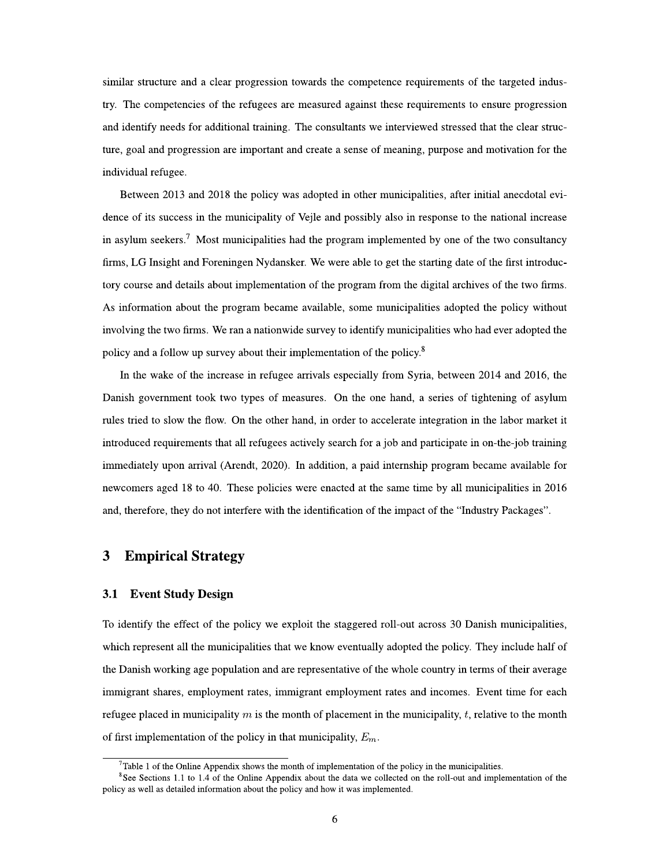similar structure and a clear progression towards the competence requirements of the targeted industry. The competencies of the refugees are measured against these requirements to ensure progression and identify needs for additional training. The consultants we interviewed stressed that the clear structure, goal and progression are important and create a sense of meaning, purpose and motivation for the individual refugee.

Between 2013 and 2018 the policy was adopted in other municipalities, after initial anecdotal evidence of its success in the municipality of Vejle and possibly also in response to the national increase in asylum seekers.<sup>7</sup> Most municipalities had the program implemented by one of the two consultancy firms, LG Insight and Foreningen Nydansker. We were able to get the starting date of the first introductory course and details about implementation of the program from the digital archives of the two firms. As information about the program became available, some municipalities adopted the policy without involving the two firms. We ran a nationwide survey to identify municipalities who had ever adopted the policy and a follow up survey about their implementation of the policy.<sup>8</sup>

In the wake of the increase in refugee arrivals especially from Syria, between 2014 and 2016, the Danish government took two types of measures. On the one hand, a series of tightening of asylum rules tried to slow the flow. On the other hand, in order to accelerate integration in the labor market it introduced requirements that all refugees actively search for a job and participate in on-the-job training immediately upon arrival (Arendt, 2020). In addition, a paid internship program became available for newcomers aged 18 to 40. These policies were enacted at the same time by all municipalities in 2016 and, therefore, they do not interfere with the identification of the impact of the "Industry Packages".

## **Empirical Strategy** 3

#### $3.1$ **Event Study Design**

To identify the effect of the policy we exploit the staggered roll-out across 30 Danish municipalities, which represent all the municipalities that we know eventually adopted the policy. They include half of the Danish working age population and are representative of the whole country in terms of their average immigrant shares, employment rates, immigrant employment rates and incomes. Event time for each refugee placed in municipality  $m$  is the month of placement in the municipality,  $t$ , relative to the month of first implementation of the policy in that municipality,  $E_m$ .

 $7$ Table 1 of the Online Appendix shows the month of implementation of the policy in the municipalities.

 $8$ See Sections 1.1 to 1.4 of the Online Appendix about the data we collected on the roll-out and implementation of the policy as well as detailed information about the policy and how it was implemented.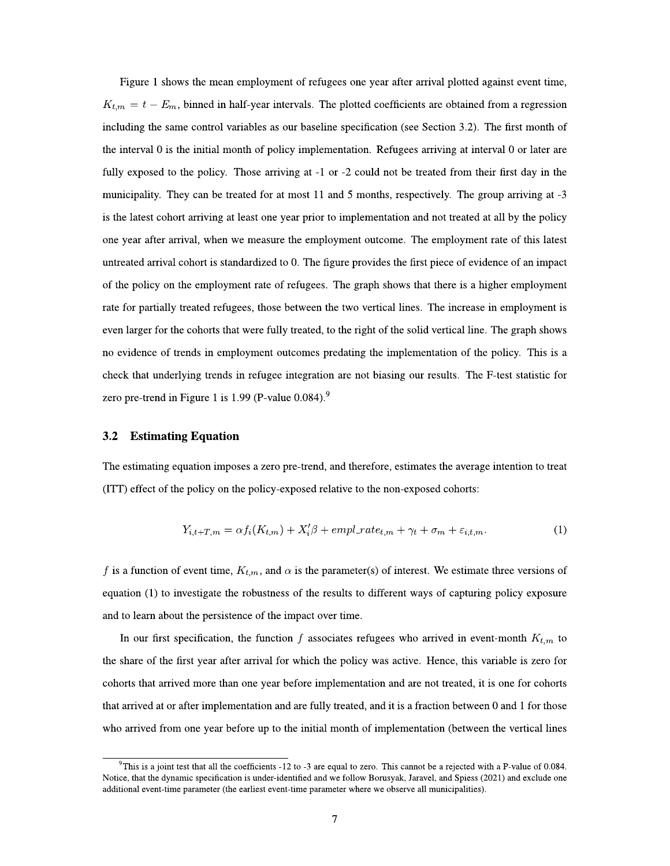Figure 1 shows the mean employment of refugees one year after arrival plotted against event time,  $K_{t,m} = t - E_m$ , binned in half-year intervals. The plotted coefficients are obtained from a regression including the same control variables as our baseline specification (see Section 3.2). The first month of the interval 0 is the initial month of policy implementation. Refugees arriving at interval 0 or later are fully exposed to the policy. Those arriving at -1 or -2 could not be treated from their first day in the municipality. They can be treated for at most 11 and 5 months, respectively. The group arriving at -3 is the latest cohort arriving at least one year prior to implementation and not treated at all by the policy one year after arrival, when we measure the employment outcome. The employment rate of this latest untreated arrival cohort is standardized to 0. The figure provides the first piece of evidence of an impact of the policy on the employment rate of refugees. The graph shows that there is a higher employment rate for partially treated refugees, those between the two vertical lines. The increase in employment is even larger for the cohorts that were fully treated, to the right of the solid vertical line. The graph shows no evidence of trends in employment outcomes predating the implementation of the policy. This is a check that underlying trends in refugee integration are not biasing our results. The F-test statistic for zero pre-trend in Figure 1 is 1.99 (P-value  $0.084$ ).<sup>9</sup>

#### $3.2$ **Estimating Equation**

The estimating equation imposes a zero pre-trend, and therefore, estimates the average intention to treat (ITT) effect of the policy on the policy-exposed relative to the non-exposed cohorts:

$$
Y_{i,t+T,m} = \alpha f_i(K_{t,m}) + X_i'\beta + empl\_rate_{t,m} + \gamma_t + \sigma_m + \varepsilon_{i,t,m}.
$$
\n<sup>(1)</sup>

f is a function of event time,  $K_{t,m}$ , and  $\alpha$  is the parameter(s) of interest. We estimate three versions of equation (1) to investigate the robustness of the results to different ways of capturing policy exposure and to learn about the persistence of the impact over time.

In our first specification, the function f associates refugees who arrived in event-month  $K_{t,m}$  to the share of the first year after arrival for which the policy was active. Hence, this variable is zero for cohorts that arrived more than one year before implementation and are not treated, it is one for cohorts that arrived at or after implementation and are fully treated, and it is a fraction between 0 and 1 for those who arrived from one year before up to the initial month of implementation (between the vertical lines

 $9$ This is a joint test that all the coefficients -12 to -3 are equal to zero. This cannot be a rejected with a P-value of 0.084. Notice, that the dynamic specification is under-identified and we follow Borusyak, Jaravel, and Spiess (2021) and exclude one additional event-time parameter (the earliest event-time parameter where we observe all municipalities).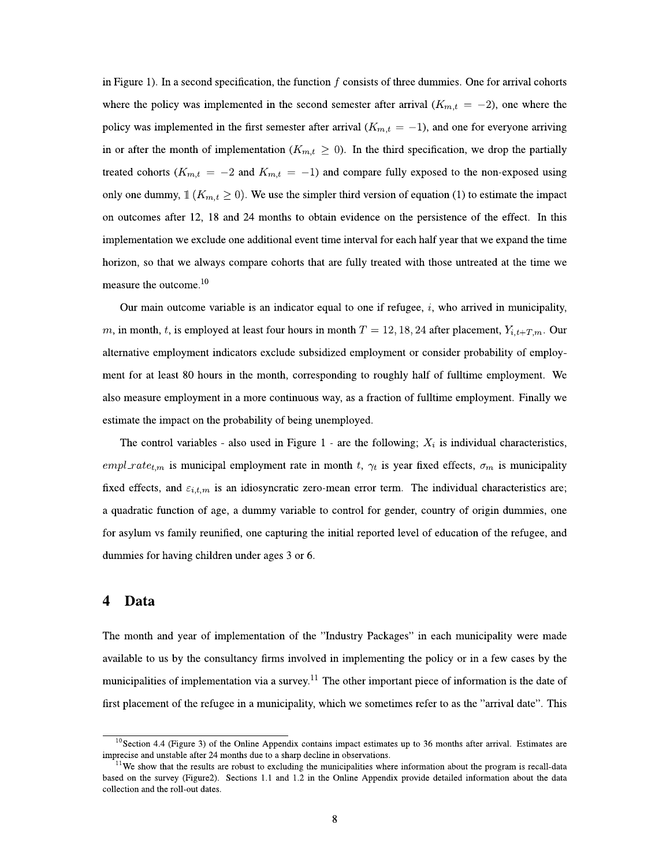in Figure 1). In a second specification, the function  $f$  consists of three dummies. One for arrival cohorts where the policy was implemented in the second semester after arrival  $(K_{m,t} = -2)$ , one where the policy was implemented in the first semester after arrival  $(K_{m,t} = -1)$ , and one for everyone arriving in or after the month of implementation ( $K_{m,t} \geq 0$ ). In the third specification, we drop the partially treated cohorts ( $K_{m,t} = -2$  and  $K_{m,t} = -1$ ) and compare fully exposed to the non-exposed using only one dummy,  $\mathbb{1}$  ( $K_{m,t} \geq 0$ ). We use the simpler third version of equation (1) to estimate the impact on outcomes after 12, 18 and 24 months to obtain evidence on the persistence of the effect. In this implementation we exclude one additional event time interval for each half year that we expand the time horizon, so that we always compare cohorts that are fully treated with those untreated at the time we measure the outcome.<sup>10</sup>

Our main outcome variable is an indicator equal to one if refugee,  $i$ , who arrived in municipality, m, in month, t, is employed at least four hours in month  $T = 12, 18, 24$  after placement,  $Y_{i,t+T,m}$ . Our alternative employment indicators exclude subsidized employment or consider probability of employment for at least 80 hours in the month, corresponding to roughly half of fulltime employment. We also measure employment in a more continuous way, as a fraction of fulltime employment. Finally we estimate the impact on the probability of being unemployed.

The control variables - also used in Figure 1 - are the following;  $X_i$  is individual characteristics, empl\_rate<sub>t,m</sub> is municipal employment rate in month t,  $\gamma_t$  is year fixed effects,  $\sigma_m$  is municipality fixed effects, and  $\varepsilon_{i,t,m}$  is an idiosyncratic zero-mean error term. The individual characteristics are; a quadratic function of age, a dummy variable to control for gender, country of origin dummies, one for asylum vs family reunified, one capturing the initial reported level of education of the refugee, and dummies for having children under ages 3 or 6.

## Data 4

The month and year of implementation of the "Industry Packages" in each municipality were made available to us by the consultancy firms involved in implementing the policy or in a few cases by the municipalities of implementation via a survey.<sup>11</sup> The other important piece of information is the date of first placement of the refugee in a municipality, which we sometimes refer to as the "arrival date". This

 $^{10}$ Section 4.4 (Figure 3) of the Online Appendix contains impact estimates up to 36 months after arrival. Estimates are imprecise and unstable after 24 months due to a sharp decline in observations.

<sup>&</sup>lt;sup>11</sup>We show that the results are robust to excluding the municipalities where information about the program is recall-data based on the survey (Figure2). Sections 1.1 and 1.2 in the Online Appendix provide detailed information about the data collection and the roll-out dates.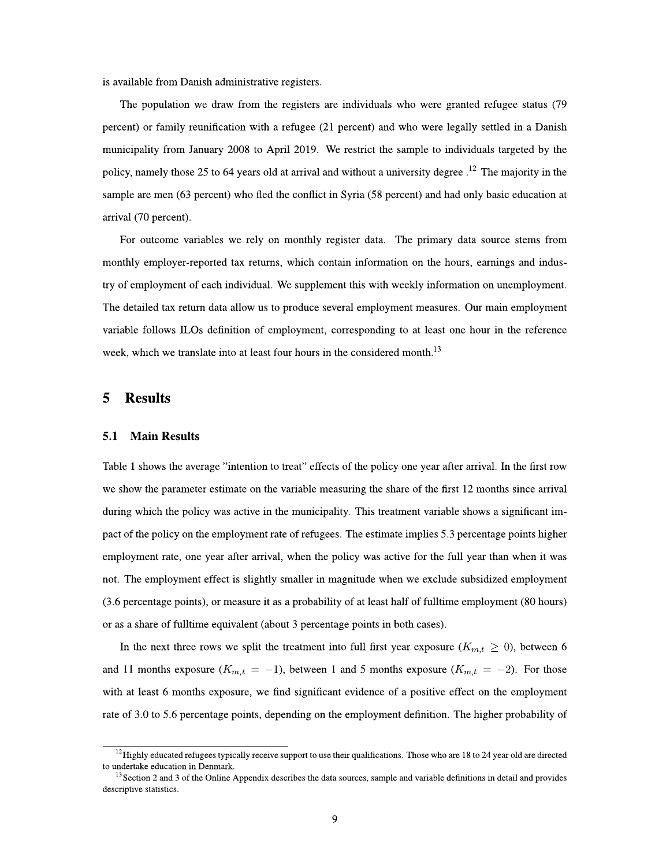is available from Danish administrative registers.

The population we draw from the registers are individuals who were granted refugee status (79) percent) or family reunification with a refugee (21 percent) and who were legally settled in a Danish municipality from January 2008 to April 2019. We restrict the sample to individuals targeted by the policy, namely those 25 to 64 years old at arrival and without a university degree.<sup>12</sup> The majority in the sample are men (63 percent) who fled the conflict in Syria (58 percent) and had only basic education at arrival (70 percent).

For outcome variables we rely on monthly register data. The primary data source stems from monthly employer-reported tax returns, which contain information on the hours, earnings and industry of employment of each individual. We supplement this with weekly information on unemployment. The detailed tax return data allow us to produce several employment measures. Our main employment variable follows ILOs definition of employment, corresponding to at least one hour in the reference week, which we translate into at least four hours in the considered month.<sup>13</sup>

### 5 **Results**

#### **Main Results** 5.1

Table 1 shows the average "intention to treat" effects of the policy one year after arrival. In the first row we show the parameter estimate on the variable measuring the share of the first 12 months since arrival during which the policy was active in the municipality. This treatment variable shows a significant impact of the policy on the employment rate of refugees. The estimate implies 5.3 percentage points higher employment rate, one year after arrival, when the policy was active for the full year than when it was not. The employment effect is slightly smaller in magnitude when we exclude subsidized employment (3.6 percentage points), or measure it as a probability of at least half of fulltime employment (80 hours) or as a share of fulltime equivalent (about 3 percentage points in both cases).

In the next three rows we split the treatment into full first year exposure  $(K_{m,t} \geq 0)$ , between 6 and 11 months exposure  $(K_{m,t} = -1)$ , between 1 and 5 months exposure  $(K_{m,t} = -2)$ . For those with at least 6 months exposure, we find significant evidence of a positive effect on the employment rate of 3.0 to 5.6 percentage points, depending on the employment definition. The higher probability of

 $12$  Highly educated refugees typically receive support to use their qualifications. Those who are 18 to 24 year old are directed to undertake education in Denmark.

 $13$  Section 2 and 3 of the Online Appendix describes the data sources, sample and variable definitions in detail and provides descriptive statistics.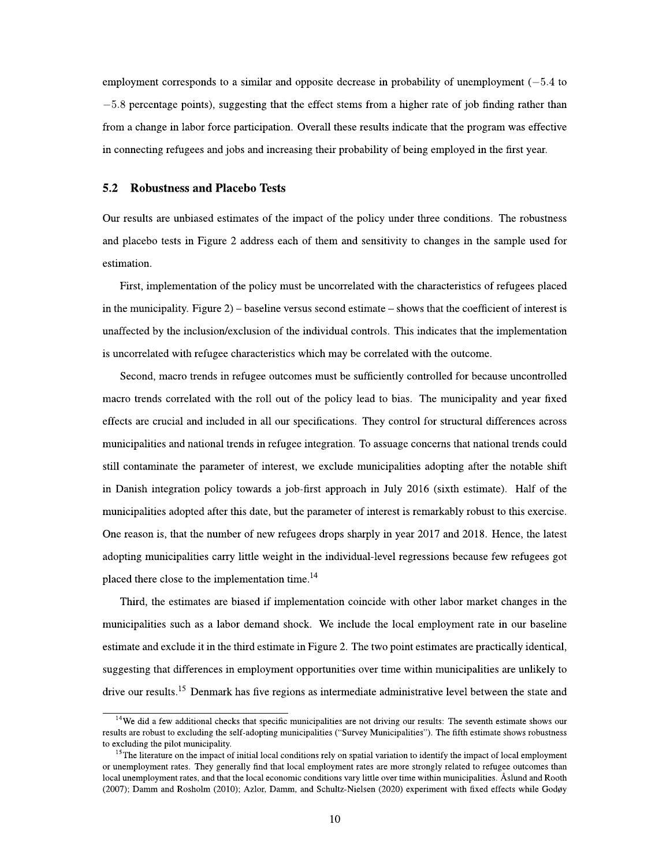employment corresponds to a similar and opposite decrease in probability of unemployment  $(-5.4 \text{ to } 10^{-12})$  $-5.8$  percentage points), suggesting that the effect stems from a higher rate of job finding rather than from a change in labor force participation. Overall these results indicate that the program was effective in connecting refugees and jobs and increasing their probability of being employed in the first year.

#### $5.2$ **Robustness and Placebo Tests**

Our results are unbiased estimates of the impact of the policy under three conditions. The robustness and placebo tests in Figure 2 address each of them and sensitivity to changes in the sample used for estimation.

First, implementation of the policy must be uncorrelated with the characteristics of refugees placed in the municipality. Figure  $2$ ) – baseline versus second estimate – shows that the coefficient of interest is unaffected by the inclusion/exclusion of the individual controls. This indicates that the implementation is uncorrelated with refugee characteristics which may be correlated with the outcome.

Second, macro trends in refugee outcomes must be sufficiently controlled for because uncontrolled macro trends correlated with the roll out of the policy lead to bias. The municipality and year fixed effects are crucial and included in all our specifications. They control for structural differences across municipalities and national trends in refugee integration. To assuage concerns that national trends could still contaminate the parameter of interest, we exclude municipalities adopting after the notable shift in Danish integration policy towards a job-first approach in July 2016 (sixth estimate). Half of the municipalities adopted after this date, but the parameter of interest is remarkably robust to this exercise. One reason is, that the number of new refugees drops sharply in year 2017 and 2018. Hence, the latest adopting municipalities carry little weight in the individual-level regressions because few refugees got placed there close to the implementation time.<sup>14</sup>

Third, the estimates are biased if implementation coincide with other labor market changes in the municipalities such as a labor demand shock. We include the local employment rate in our baseline estimate and exclude it in the third estimate in Figure 2. The two point estimates are practically identical, suggesting that differences in employment opportunities over time within municipalities are unlikely to drive our results.<sup>15</sup> Denmark has five regions as intermediate administrative level between the state and

<sup>&</sup>lt;sup>14</sup>We did a few additional checks that specific municipalities are not driving our results: The seventh estimate shows our results are robust to excluding the self-adopting municipalities ("Survey Municipalities"). The fifth estimate shows robustness to excluding the pilot municipality.

<sup>&</sup>lt;sup>15</sup>The literature on the impact of initial local conditions rely on spatial variation to identify the impact of local employment or unemployment rates. They generally find that local employment rates are more strongly related to refugee outcomes than local unemployment rates, and that the local economic conditions vary little over time within municipalities. Åslund and Rooth (2007); Damm and Rosholm (2010); Azlor, Damm, and Schultz-Nielsen (2020) experiment with fixed effects while Godøy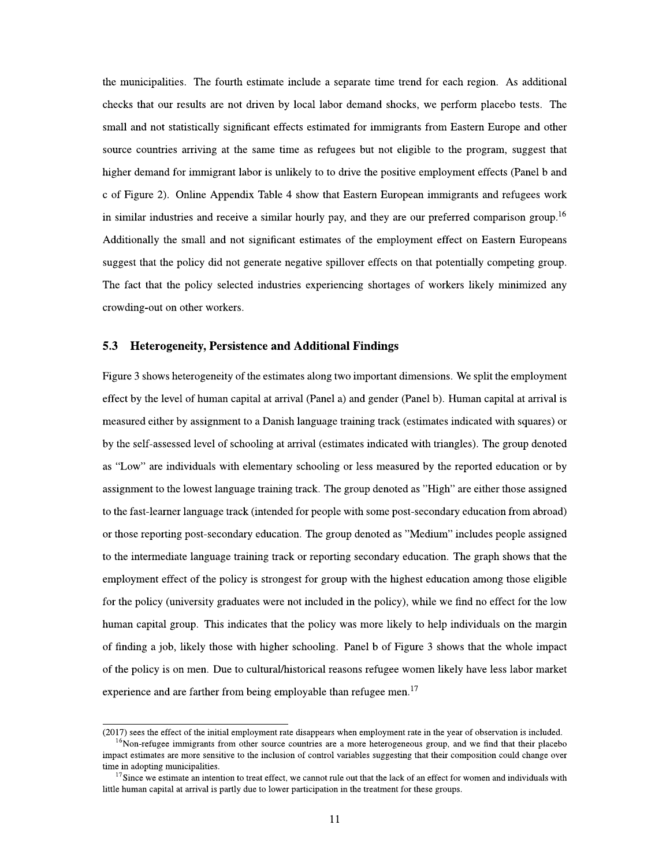the municipalities. The fourth estimate include a separate time trend for each region. As additional checks that our results are not driven by local labor demand shocks, we perform placebo tests. The small and not statistically significant effects estimated for immigrants from Eastern Europe and other source countries arriving at the same time as refugees but not eligible to the program, suggest that higher demand for immigrant labor is unlikely to to drive the positive employment effects (Panel b and c of Figure 2). Online Appendix Table 4 show that Eastern European immigrants and refugees work in similar industries and receive a similar hourly pay, and they are our preferred comparison group.<sup>16</sup> Additionally the small and not significant estimates of the employment effect on Eastern Europeans suggest that the policy did not generate negative spillover effects on that potentially competing group. The fact that the policy selected industries experiencing shortages of workers likely minimized any crowding-out on other workers.

#### **Heterogeneity, Persistence and Additional Findings** 5.3

Figure 3 shows heterogeneity of the estimates along two important dimensions. We split the employment effect by the level of human capital at arrival (Panel a) and gender (Panel b). Human capital at arrival is measured either by assignment to a Danish language training track (estimates indicated with squares) or by the self-assessed level of schooling at arrival (estimates indicated with triangles). The group denoted as "Low" are individuals with elementary schooling or less measured by the reported education or by assignment to the lowest language training track. The group denoted as "High" are either those assigned to the fast-learner language track (intended for people with some post-secondary education from abroad) or those reporting post-secondary education. The group denoted as "Medium" includes people assigned to the intermediate language training track or reporting secondary education. The graph shows that the employment effect of the policy is strongest for group with the highest education among those eligible for the policy (university graduates were not included in the policy), while we find no effect for the low human capital group. This indicates that the policy was more likely to help individuals on the margin of finding a job, likely those with higher schooling. Panel b of Figure 3 shows that the whole impact of the policy is on men. Due to cultural/historical reasons refugee women likely have less labor market experience and are farther from being employable than refugee men.<sup>17</sup>

<sup>(2017)</sup> sees the effect of the initial employment rate disappears when employment rate in the year of observation is included.

<sup>&</sup>lt;sup>16</sup>Non-refugee immigrants from other source countries are a more heterogeneous group, and we find that their placebo impact estimates are more sensitive to the inclusion of control variables suggesting that their composition could change over time in adopting municipalities.

 $17$  Since we estimate an intention to treat effect, we cannot rule out that the lack of an effect for women and individuals with little human capital at arrival is partly due to lower participation in the treatment for these groups.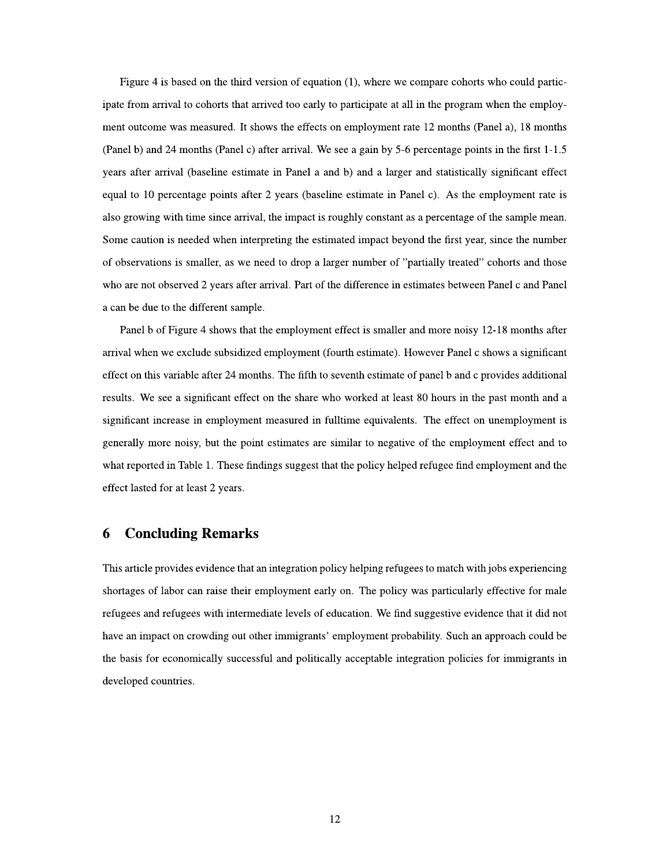Figure 4 is based on the third version of equation  $(1)$ , where we compare cohorts who could participate from arrival to cohorts that arrived too early to participate at all in the program when the employment outcome was measured. It shows the effects on employment rate 12 months (Panel a), 18 months (Panel b) and 24 months (Panel c) after arrival. We see a gain by 5-6 percentage points in the first 1-1.5 years after arrival (baseline estimate in Panel a and b) and a larger and statistically significant effect equal to 10 percentage points after 2 years (baseline estimate in Panel c). As the employment rate is also growing with time since arrival, the impact is roughly constant as a percentage of the sample mean. Some caution is needed when interpreting the estimated impact beyond the first year, since the number of observations is smaller, as we need to drop a larger number of "partially treated" cohorts and those who are not observed 2 years after arrival. Part of the difference in estimates between Panel c and Panel a can be due to the different sample.

Panel b of Figure 4 shows that the employment effect is smaller and more noisy 12-18 months after arrival when we exclude subsidized employment (fourth estimate). However Panel c shows a significant effect on this variable after 24 months. The fifth to seventh estimate of panel b and c provides additional results. We see a significant effect on the share who worked at least 80 hours in the past month and a significant increase in employment measured in fulltime equivalents. The effect on unemployment is generally more noisy, but the point estimates are similar to negative of the employment effect and to what reported in Table 1. These findings suggest that the policy helped refugee find employment and the effect lasted for at least 2 years.

### **Concluding Remarks** 6

This article provides evidence that an integration policy helping refugees to match with jobs experiencing shortages of labor can raise their employment early on. The policy was particularly effective for male refugees and refugees with intermediate levels of education. We find suggestive evidence that it did not have an impact on crowding out other immigrants' employment probability. Such an approach could be the basis for economically successful and politically acceptable integration policies for immigrants in developed countries.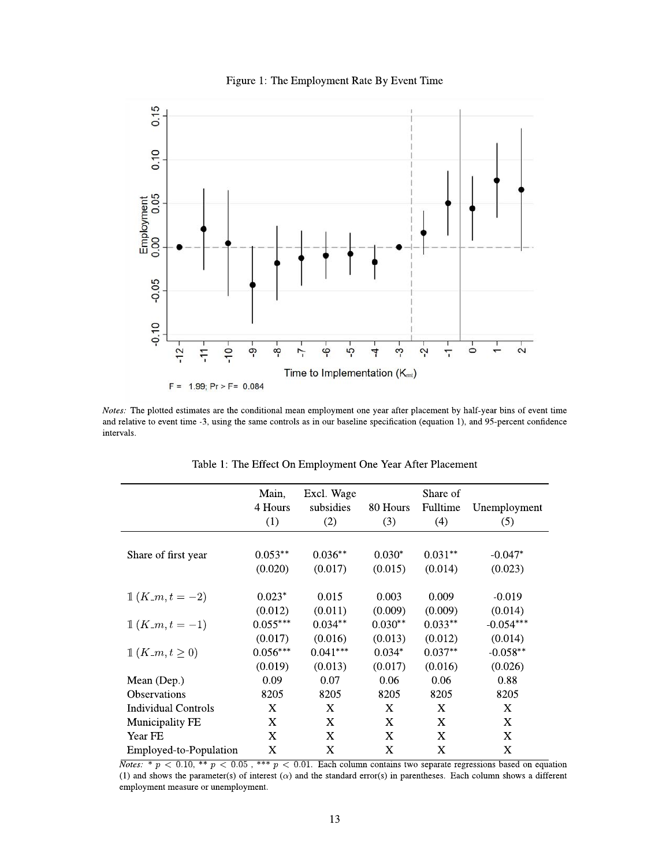



Notes: The plotted estimates are the conditional mean employment one year after placement by half-year bins of event time and relative to event time -3, using the same controls as in our baseline specification (equation 1), and 95-percent confidence intervals.

|                                       | Main,<br>4 Hours<br>(1)          | Excl. Wage<br>subsidies<br>(2)   | 80 Hours<br>(3)                | Share of<br>Fulltime<br>(4)     | Unemployment<br>(5)              |
|---------------------------------------|----------------------------------|----------------------------------|--------------------------------|---------------------------------|----------------------------------|
| Share of first year                   | $0.053**$<br>(0.020)             | $0.036**$<br>(0.017)             | $0.030*$<br>(0.015)            | $0.031**$<br>(0.014)            | $-0.047*$<br>(0.023)             |
| $1(K_{-}m, t=-2)$                     | $0.023*$<br>(0.012)              | 0.015<br>(0.011)                 | 0.003<br>(0.009)               | 0.009<br>(0.009)                | $-0.019$<br>(0.014)              |
| $1(K_{-}m, t=-1)$                     | $0.055***$                       | $0.034**$                        | $0.030**$                      | $0.033**$                       | $-0.054***$                      |
| $\mathbb{1}(K_{\mathbb{1}}m,t\geq 0)$ | (0.017)<br>$0.056***$<br>(0.019) | (0.016)<br>$0.041***$<br>(0.013) | (0.013)<br>$0.034*$<br>(0.017) | (0.012)<br>$0.037**$<br>(0.016) | (0.014)<br>$-0.058**$<br>(0.026) |
| Mean (Dep.)                           | 0.09                             | 0.07                             | 0.06                           | 0.06                            | 0.88                             |
| Observations                          | 8205                             | 8205                             | 8205                           | 8205                            | 8205                             |
| <b>Individual Controls</b>            | X                                | X                                | X                              | X                               | X                                |
| <b>Municipality FE</b>                | X                                | X                                | X                              | X                               | X                                |
| Year FE                               | X                                | X                                | X                              | X                               | X                                |
| Employed-to-Population                | X                                | X                                | X                              | X                               | X                                |

Table 1: The Effect On Employment One Year After Placement

*Notes:* \*  $p < 0.10$ , \*\*  $p < 0.05$ , \*\*\*  $p < 0.01$ . Each column contains two separate regressions based on equation (1) and shows the parameter(s) of interest  $(\alpha)$  and the standard error(s) in parentheses. Each column shows a different employment measure or unemployment.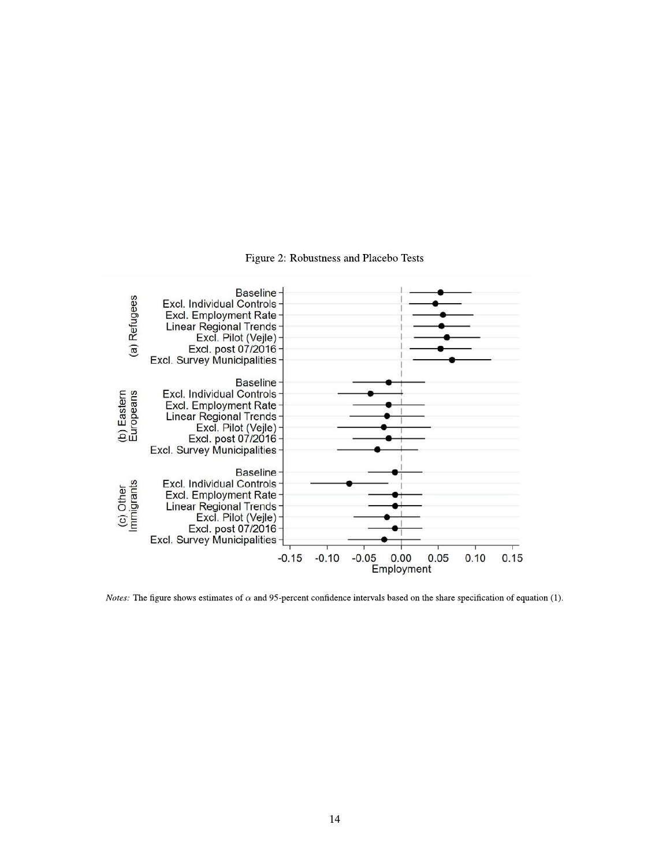Figure 2: Robustness and Placebo Tests



*Notes:* The figure shows estimates of  $\alpha$  and 95-percent confidence intervals based on the share specification of equation (1).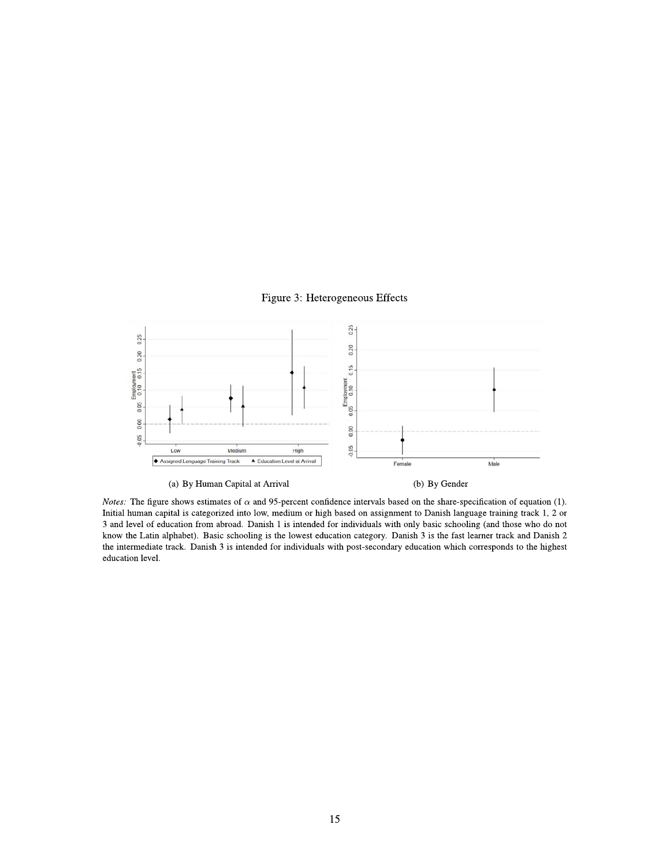## Figure 3: Heterogeneous Effects



*Notes:* The figure shows estimates of  $\alpha$  and 95-percent confidence intervals based on the share-specification of equation (1). Initial human capital is categorized into low, medium or high based on assignment to Danish language training track 1, 2 or 3 and level of education from abroad. Danish 1 is intended for individuals with only basic schooling (and those who do not know the Latin alphabet). Basic schooling is the lowest education category. Danish 3 is the fast learner track and Danish 2 the intermediate track. Danish 3 is intended for individuals with post-secondary education which corresponds to the highest education level.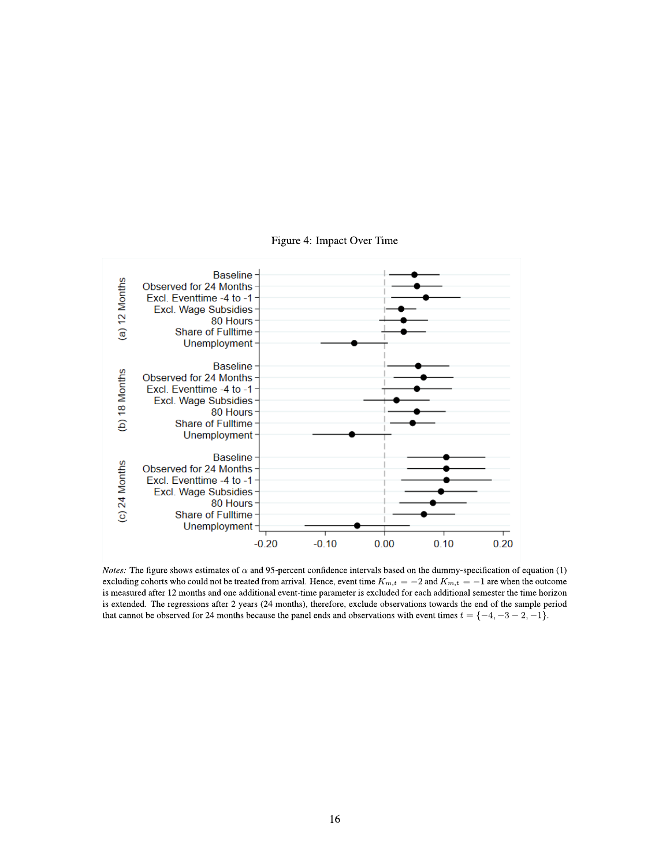

## Figure 4: Impact Over Time

*Notes:* The figure shows estimates of  $\alpha$  and 95-percent confidence intervals based on the dummy-specification of equation (1) excluding cohorts who could not be treated from arrival. Hence, event time  $K_{m,t} = -2$  and  $K_{m,t} = -1$  are when the outcome is measured after 12 months and one additional event-time parameter is excluded for each additional semester the time horizon is extended. The regressions after 2 years (24 months), therefore, exclude observations towards the end of the sample period that cannot be observed for 24 months because the panel ends and observations with event times  $t = \{-4, -3 - 2, -1\}$ .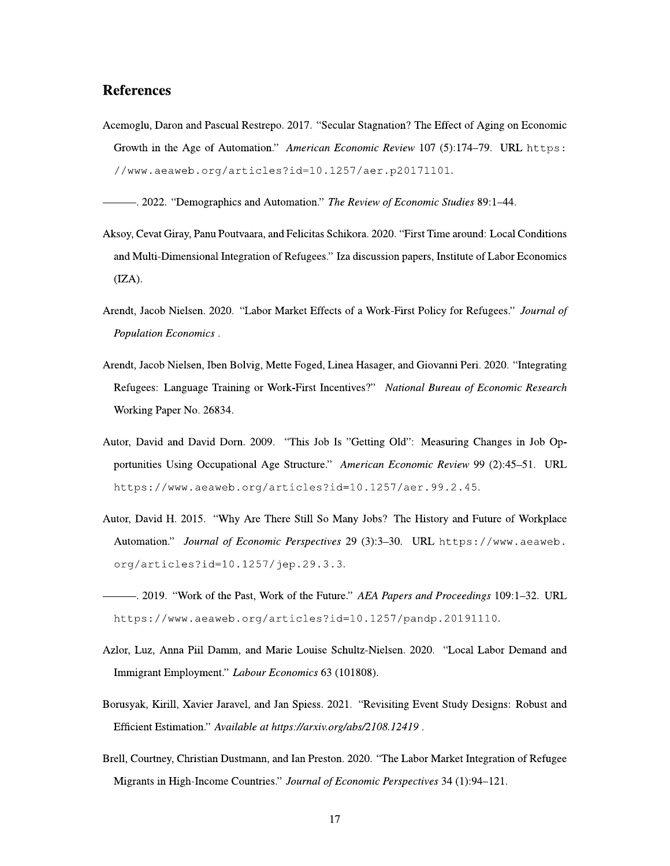# **References**

Acemoglu, Daron and Pascual Restrepo. 2017. "Secular Stagnation? The Effect of Aging on Economic Growth in the Age of Automation." American Economic Review 107 (5):174-79. URL https: //www.aeaweb.org/articles?id=10.1257/aer.p20171101.

- 2022. "Demographics and Automation." The Review of Economic Studies 89:1-44.

- Aksoy, Cevat Giray, Panu Poutvaara, and Felicitas Schikora. 2020. "First Time around: Local Conditions and Multi-Dimensional Integration of Refugees." Iza discussion papers, Institute of Labor Economics  $(IZA).$
- Arendt, Jacob Nielsen. 2020. "Labor Market Effects of a Work-First Policy for Refugees." Journal of Population Economics.
- Arendt, Jacob Nielsen, Iben Bolvig, Mette Foged, Linea Hasager, and Giovanni Peri. 2020. "Integrating Refugees: Language Training or Work-First Incentives?" National Bureau of Economic Research Working Paper No. 26834.
- Autor, David and David Dorn. 2009. "This Job Is "Getting Old": Measuring Changes in Job Opportunities Using Occupational Age Structure." American Economic Review 99 (2):45-51. URL https://www.aeaweb.org/articles?id=10.1257/aer.99.2.45.
- Autor, David H. 2015. "Why Are There Still So Many Jobs? The History and Future of Workplace Automation." Journal of Economic Perspectives 29 (3):3-30. URL https://www.aeaweb. org/articles?id=10.1257/jep.29.3.3.
- -. 2019. "Work of the Past, Work of the Future." AEA Papers and Proceedings 109:1-32. URL https://www.aeaweb.org/articles?id=10.1257/pandp.20191110.
- Azlor, Luz, Anna Piil Damm, and Marie Louise Schultz-Nielsen. 2020. "Local Labor Demand and Immigrant Employment." Labour Economics 63 (101808).
- Borusyak, Kirill, Xavier Jaravel, and Jan Spiess. 2021. "Revisiting Event Study Designs: Robust and Efficient Estimation." Available at https://arxiv.org/abs/2108.12419.
- Brell, Courtney, Christian Dustmann, and Ian Preston. 2020. "The Labor Market Integration of Refugee Migrants in High-Income Countries." Journal of Economic Perspectives 34 (1):94-121.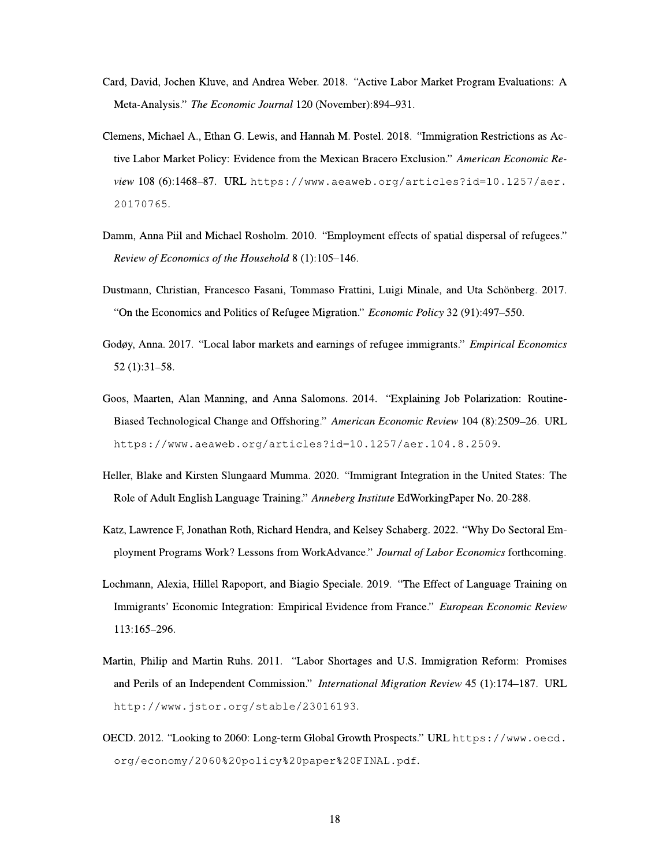- Card, David, Jochen Kluve, and Andrea Weber. 2018. "Active Labor Market Program Evaluations: A Meta-Analysis." The Economic Journal 120 (November):894-931.
- Clemens, Michael A., Ethan G. Lewis, and Hannah M. Postel. 2018. "Immigration Restrictions as Active Labor Market Policy: Evidence from the Mexican Bracero Exclusion." American Economic Review 108 (6):1468-87. URL https://www.aeaweb.org/articles?id=10.1257/aer. 20170765.
- Damm, Anna Piil and Michael Rosholm. 2010. "Employment effects of spatial dispersal of refugees." Review of Economics of the Household 8 (1):105-146.
- Dustmann, Christian, Francesco Fasani, Tommaso Frattini, Luigi Minale, and Uta Schönberg. 2017. "On the Economics and Politics of Refugee Migration." Economic Policy 32 (91):497-550.
- Godøy, Anna. 2017. "Local labor markets and earnings of refugee immigrants." Empirical Economics  $52(1):31-58.$
- Goos, Maarten, Alan Manning, and Anna Salomons. 2014. "Explaining Job Polarization: Routine-Biased Technological Change and Offshoring." American Economic Review 104 (8):2509-26. URL https://www.aeaweb.org/articles?id=10.1257/aer.104.8.2509.
- Heller, Blake and Kirsten Slungaard Mumma. 2020. "Immigrant Integration in the United States: The Role of Adult English Language Training." Anneberg Institute EdWorkingPaper No. 20-288.
- Katz, Lawrence F, Jonathan Roth, Richard Hendra, and Kelsey Schaberg. 2022. "Why Do Sectoral Employment Programs Work? Lessons from WorkAdvance." Journal of Labor Economics forthcoming.
- Lochmann, Alexia, Hillel Rapoport, and Biagio Speciale. 2019. "The Effect of Language Training on Immigrants' Economic Integration: Empirical Evidence from France." European Economic Review 113:165-296.
- Martin, Philip and Martin Ruhs. 2011. "Labor Shortages and U.S. Immigration Reform: Promises and Perils of an Independent Commission." *International Migration Review* 45 (1):174–187. URL http://www.jstor.org/stable/23016193.
- OECD. 2012. "Looking to 2060: Long-term Global Growth Prospects." URL https://www.oecd. org/economy/2060%20policy%20paper%20FINAL.pdf.